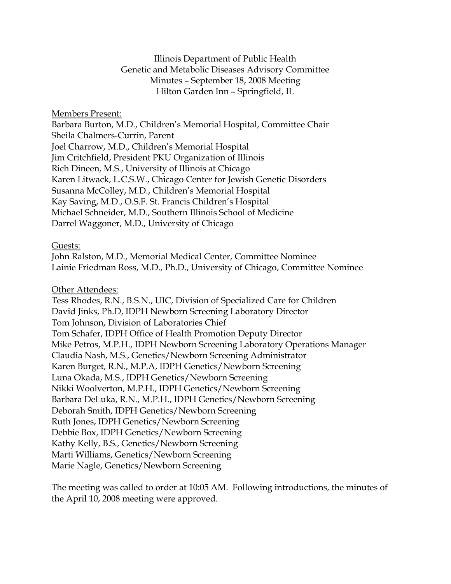Illinois Department of Public Health Genetic and Metabolic Diseases Advisory Committee Minutes – September 18, 2008 Meeting Hilton Garden Inn – Springfield, IL

#### Members Present:

Barbara Burton, M.D., Children's Memorial Hospital, Committee Chair Sheila Chalmers-Currin, Parent Joel Charrow, M.D., Children's Memorial Hospital Jim Critchfield, President PKU Organization of Illinois Rich Dineen, M.S., University of Illinois at Chicago Karen Litwack, L.C.S.W., Chicago Center for Jewish Genetic Disorders Susanna McColley, M.D., Children's Memorial Hospital Kay Saving, M.D., O.S.F. St. Francis Children's Hospital Michael Schneider, M.D., Southern Illinois School of Medicine Darrel Waggoner, M.D., University of Chicago

#### Guests:

John Ralston, M.D., Memorial Medical Center, Committee Nominee Lainie Friedman Ross, M.D., Ph.D., University of Chicago, Committee Nominee

#### Other Attendees:

Tess Rhodes, R.N., B.S.N., UIC, Division of Specialized Care for Children David Jinks, Ph.D, IDPH Newborn Screening Laboratory Director Tom Johnson, Division of Laboratories Chief Tom Schafer, IDPH Office of Health Promotion Deputy Director Mike Petros, M.P.H., IDPH Newborn Screening Laboratory Operations Manager Claudia Nash, M.S., Genetics/Newborn Screening Administrator Karen Burget, R.N., M.P.A, IDPH Genetics/Newborn Screening Luna Okada, M.S., IDPH Genetics/Newborn Screening Nikki Woolverton, M.P.H., IDPH Genetics/Newborn Screening Barbara DeLuka, R.N., M.P.H., IDPH Genetics/Newborn Screening Deborah Smith, IDPH Genetics/Newborn Screening Ruth Jones, IDPH Genetics/Newborn Screening Debbie Box, IDPH Genetics/Newborn Screening Kathy Kelly, B.S., Genetics/Newborn Screening Marti Williams, Genetics/Newborn Screening Marie Nagle, Genetics/Newborn Screening

The meeting was called to order at 10:05 AM. Following introductions, the minutes of the April 10, 2008 meeting were approved.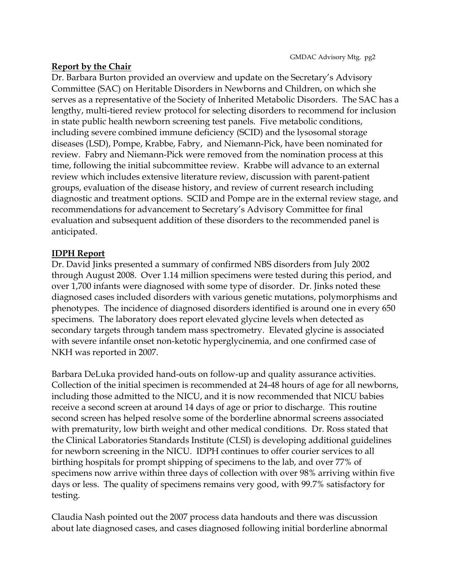### **Report by the Chair**

Dr. Barbara Burton provided an overview and update on the Secretary's Advisory Committee (SAC) on Heritable Disorders in Newborns and Children, on which she serves as a representative of the Society of Inherited Metabolic Disorders. The SAC has a lengthy, multi-tiered review protocol for selecting disorders to recommend for inclusion in state public health newborn screening test panels. Five metabolic conditions, including severe combined immune deficiency (SCID) and the lysosomal storage diseases (LSD), Pompe, Krabbe, Fabry, and Niemann-Pick, have been nominated for review. Fabry and Niemann-Pick were removed from the nomination process at this time, following the initial subcommittee review. Krabbe will advance to an external review which includes extensive literature review, discussion with parent-patient groups, evaluation of the disease history, and review of current research including diagnostic and treatment options. SCID and Pompe are in the external review stage, and recommendations for advancement to Secretary's Advisory Committee for final evaluation and subsequent addition of these disorders to the recommended panel is anticipated.

## **IDPH Report**

Dr. David Jinks presented a summary of confirmed NBS disorders from July 2002 through August 2008. Over 1.14 million specimens were tested during this period, and over 1,700 infants were diagnosed with some type of disorder. Dr. Jinks noted these diagnosed cases included disorders with various genetic mutations, polymorphisms and phenotypes. The incidence of diagnosed disorders identified is around one in every 650 specimens. The laboratory does report elevated glycine levels when detected as secondary targets through tandem mass spectrometry. Elevated glycine is associated with severe infantile onset non-ketotic hyperglycinemia, and one confirmed case of NKH was reported in 2007.

Barbara DeLuka provided hand-outs on follow-up and quality assurance activities. Collection of the initial specimen is recommended at 24-48 hours of age for all newborns, including those admitted to the NICU, and it is now recommended that NICU babies receive a second screen at around 14 days of age or prior to discharge. This routine second screen has helped resolve some of the borderline abnormal screens associated with prematurity, low birth weight and other medical conditions. Dr. Ross stated that the Clinical Laboratories Standards Institute (CLSI) is developing additional guidelines for newborn screening in the NICU. IDPH continues to offer courier services to all birthing hospitals for prompt shipping of specimens to the lab, and over 77% of specimens now arrive within three days of collection with over 98% arriving within five days or less. The quality of specimens remains very good, with 99.7% satisfactory for testing.

Claudia Nash pointed out the 2007 process data handouts and there was discussion about late diagnosed cases, and cases diagnosed following initial borderline abnormal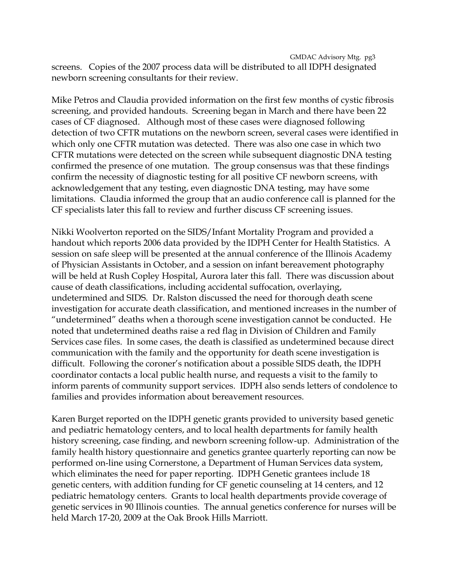GMDAC Advisory Mtg. pg3 screens. Copies of the 2007 process data will be distributed to all IDPH designated newborn screening consultants for their review.

Mike Petros and Claudia provided information on the first few months of cystic fibrosis screening, and provided handouts. Screening began in March and there have been 22 cases of CF diagnosed. Although most of these cases were diagnosed following detection of two CFTR mutations on the newborn screen, several cases were identified in which only one CFTR mutation was detected. There was also one case in which two CFTR mutations were detected on the screen while subsequent diagnostic DNA testing confirmed the presence of one mutation. The group consensus was that these findings confirm the necessity of diagnostic testing for all positive CF newborn screens, with acknowledgement that any testing, even diagnostic DNA testing, may have some limitations. Claudia informed the group that an audio conference call is planned for the CF specialists later this fall to review and further discuss CF screening issues.

Nikki Woolverton reported on the SIDS/Infant Mortality Program and provided a handout which reports 2006 data provided by the IDPH Center for Health Statistics. A session on safe sleep will be presented at the annual conference of the Illinois Academy of Physician Assistants in October, and a session on infant bereavement photography will be held at Rush Copley Hospital, Aurora later this fall. There was discussion about cause of death classifications, including accidental suffocation, overlaying, undetermined and SIDS. Dr. Ralston discussed the need for thorough death scene investigation for accurate death classification, and mentioned increases in the number of "undetermined" deaths when a thorough scene investigation cannot be conducted. He noted that undetermined deaths raise a red flag in Division of Children and Family Services case files. In some cases, the death is classified as undetermined because direct communication with the family and the opportunity for death scene investigation is difficult. Following the coroner's notification about a possible SIDS death, the IDPH coordinator contacts a local public health nurse, and requests a visit to the family to inform parents of community support services. IDPH also sends letters of condolence to families and provides information about bereavement resources.

Karen Burget reported on the IDPH genetic grants provided to university based genetic and pediatric hematology centers, and to local health departments for family health history screening, case finding, and newborn screening follow-up. Administration of the family health history questionnaire and genetics grantee quarterly reporting can now be performed on-line using Cornerstone, a Department of Human Services data system, which eliminates the need for paper reporting. IDPH Genetic grantees include 18 genetic centers, with addition funding for CF genetic counseling at 14 centers, and 12 pediatric hematology centers. Grants to local health departments provide coverage of genetic services in 90 Illinois counties. The annual genetics conference for nurses will be held March 17-20, 2009 at the Oak Brook Hills Marriott.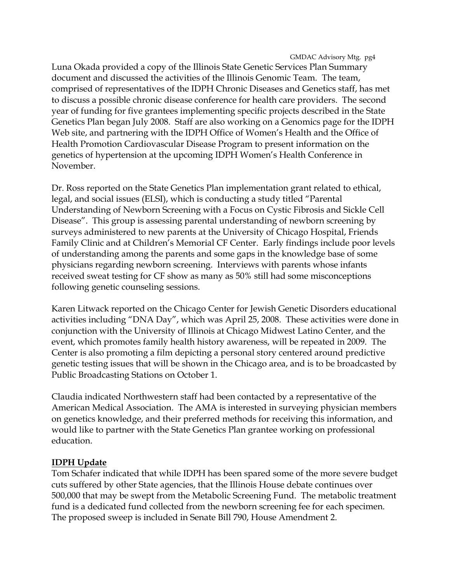GMDAC Advisory Mtg. pg4

Luna Okada provided a copy of the Illinois State Genetic Services Plan Summary document and discussed the activities of the Illinois Genomic Team. The team, comprised of representatives of the IDPH Chronic Diseases and Genetics staff, has met to discuss a possible chronic disease conference for health care providers. The second year of funding for five grantees implementing specific projects described in the State Genetics Plan began July 2008. Staff are also working on a Genomics page for the IDPH Web site, and partnering with the IDPH Office of Women's Health and the Office of Health Promotion Cardiovascular Disease Program to present information on the genetics of hypertension at the upcoming IDPH Women's Health Conference in November.

Dr. Ross reported on the State Genetics Plan implementation grant related to ethical, legal, and social issues (ELSI), which is conducting a study titled "Parental Understanding of Newborn Screening with a Focus on Cystic Fibrosis and Sickle Cell Disease". This group is assessing parental understanding of newborn screening by surveys administered to new parents at the University of Chicago Hospital, Friends Family Clinic and at Children's Memorial CF Center. Early findings include poor levels of understanding among the parents and some gaps in the knowledge base of some physicians regarding newborn screening. Interviews with parents whose infants received sweat testing for CF show as many as 50% still had some misconceptions following genetic counseling sessions.

Karen Litwack reported on the Chicago Center for Jewish Genetic Disorders educational activities including "DNA Day", which was April 25, 2008. These activities were done in conjunction with the University of Illinois at Chicago Midwest Latino Center, and the event, which promotes family health history awareness, will be repeated in 2009. The Center is also promoting a film depicting a personal story centered around predictive genetic testing issues that will be shown in the Chicago area, and is to be broadcasted by Public Broadcasting Stations on October 1.

Claudia indicated Northwestern staff had been contacted by a representative of the American Medical Association. The AMA is interested in surveying physician members on genetics knowledge, and their preferred methods for receiving this information, and would like to partner with the State Genetics Plan grantee working on professional education.

### **IDPH Update**

Tom Schafer indicated that while IDPH has been spared some of the more severe budget cuts suffered by other State agencies, that the Illinois House debate continues over 500,000 that may be swept from the Metabolic Screening Fund. The metabolic treatment fund is a dedicated fund collected from the newborn screening fee for each specimen. The proposed sweep is included in Senate Bill 790, House Amendment 2.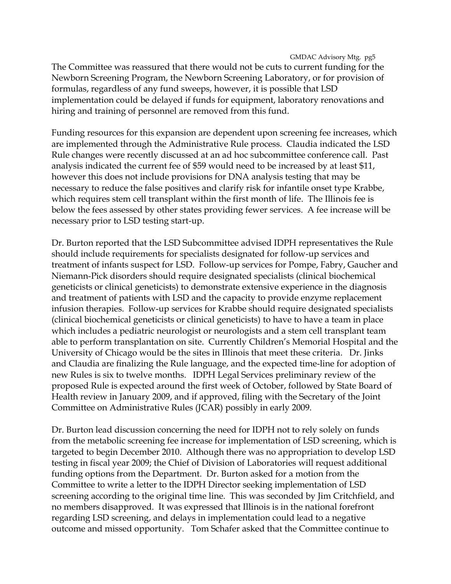GMDAC Advisory Mtg. pg5 The Committee was reassured that there would not be cuts to current funding for the Newborn Screening Program, the Newborn Screening Laboratory, or for provision of formulas, regardless of any fund sweeps, however, it is possible that LSD implementation could be delayed if funds for equipment, laboratory renovations and hiring and training of personnel are removed from this fund.

Funding resources for this expansion are dependent upon screening fee increases, which are implemented through the Administrative Rule process. Claudia indicated the LSD Rule changes were recently discussed at an ad hoc subcommittee conference call. Past analysis indicated the current fee of \$59 would need to be increased by at least \$11, however this does not include provisions for DNA analysis testing that may be necessary to reduce the false positives and clarify risk for infantile onset type Krabbe, which requires stem cell transplant within the first month of life. The Illinois fee is below the fees assessed by other states providing fewer services. A fee increase will be necessary prior to LSD testing start-up.

Dr. Burton reported that the LSD Subcommittee advised IDPH representatives the Rule should include requirements for specialists designated for follow-up services and treatment of infants suspect for LSD. Follow-up services for Pompe, Fabry, Gaucher and Niemann-Pick disorders should require designated specialists (clinical biochemical geneticists or clinical geneticists) to demonstrate extensive experience in the diagnosis and treatment of patients with LSD and the capacity to provide enzyme replacement infusion therapies. Follow-up services for Krabbe should require designated specialists (clinical biochemical geneticists or clinical geneticists) to have to have a team in place which includes a pediatric neurologist or neurologists and a stem cell transplant team able to perform transplantation on site. Currently Children's Memorial Hospital and the University of Chicago would be the sites in Illinois that meet these criteria. Dr. Jinks and Claudia are finalizing the Rule language, and the expected time-line for adoption of new Rules is six to twelve months. IDPH Legal Services preliminary review of the proposed Rule is expected around the first week of October, followed by State Board of Health review in January 2009, and if approved, filing with the Secretary of the Joint Committee on Administrative Rules (JCAR) possibly in early 2009.

Dr. Burton lead discussion concerning the need for IDPH not to rely solely on funds from the metabolic screening fee increase for implementation of LSD screening, which is targeted to begin December 2010. Although there was no appropriation to develop LSD testing in fiscal year 2009; the Chief of Division of Laboratories will request additional funding options from the Department. Dr. Burton asked for a motion from the Committee to write a letter to the IDPH Director seeking implementation of LSD screening according to the original time line. This was seconded by Jim Critchfield, and no members disapproved. It was expressed that Illinois is in the national forefront regarding LSD screening, and delays in implementation could lead to a negative outcome and missed opportunity. Tom Schafer asked that the Committee continue to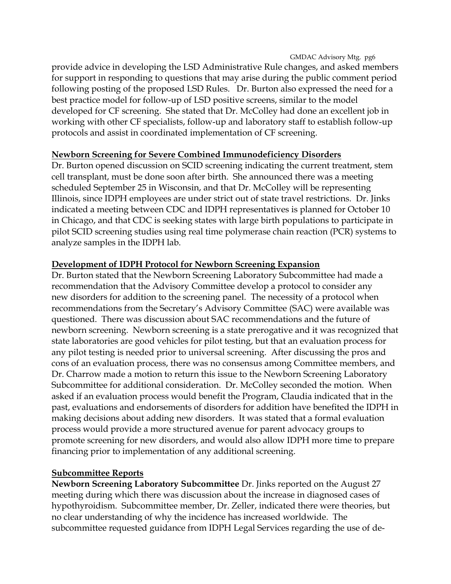GMDAC Advisory Mtg. pg6

provide advice in developing the LSD Administrative Rule changes, and asked members for support in responding to questions that may arise during the public comment period following posting of the proposed LSD Rules. Dr. Burton also expressed the need for a best practice model for follow-up of LSD positive screens, similar to the model developed for CF screening. She stated that Dr. McColley had done an excellent job in working with other CF specialists, follow-up and laboratory staff to establish follow-up protocols and assist in coordinated implementation of CF screening.

# **Newborn Screening for Severe Combined Immunodeficiency Disorders**

Dr. Burton opened discussion on SCID screening indicating the current treatment, stem cell transplant, must be done soon after birth. She announced there was a meeting scheduled September 25 in Wisconsin, and that Dr. McColley will be representing Illinois, since IDPH employees are under strict out of state travel restrictions. Dr. Jinks indicated a meeting between CDC and IDPH representatives is planned for October 10 in Chicago, and that CDC is seeking states with large birth populations to participate in pilot SCID screening studies using real time polymerase chain reaction (PCR) systems to analyze samples in the IDPH lab.

# **Development of IDPH Protocol for Newborn Screening Expansion**

Dr. Burton stated that the Newborn Screening Laboratory Subcommittee had made a recommendation that the Advisory Committee develop a protocol to consider any new disorders for addition to the screening panel. The necessity of a protocol when recommendations from the Secretary's Advisory Committee (SAC) were available was questioned. There was discussion about SAC recommendations and the future of newborn screening. Newborn screening is a state prerogative and it was recognized that state laboratories are good vehicles for pilot testing, but that an evaluation process for any pilot testing is needed prior to universal screening. After discussing the pros and cons of an evaluation process, there was no consensus among Committee members, and Dr. Charrow made a motion to return this issue to the Newborn Screening Laboratory Subcommittee for additional consideration. Dr. McColley seconded the motion. When asked if an evaluation process would benefit the Program, Claudia indicated that in the past, evaluations and endorsements of disorders for addition have benefited the IDPH in making decisions about adding new disorders. It was stated that a formal evaluation process would provide a more structured avenue for parent advocacy groups to promote screening for new disorders, and would also allow IDPH more time to prepare financing prior to implementation of any additional screening.

# **Subcommittee Reports**

**Newborn Screening Laboratory Subcommittee** Dr. Jinks reported on the August 27 meeting during which there was discussion about the increase in diagnosed cases of hypothyroidism. Subcommittee member, Dr. Zeller, indicated there were theories, but no clear understanding of why the incidence has increased worldwide. The subcommittee requested guidance from IDPH Legal Services regarding the use of de-